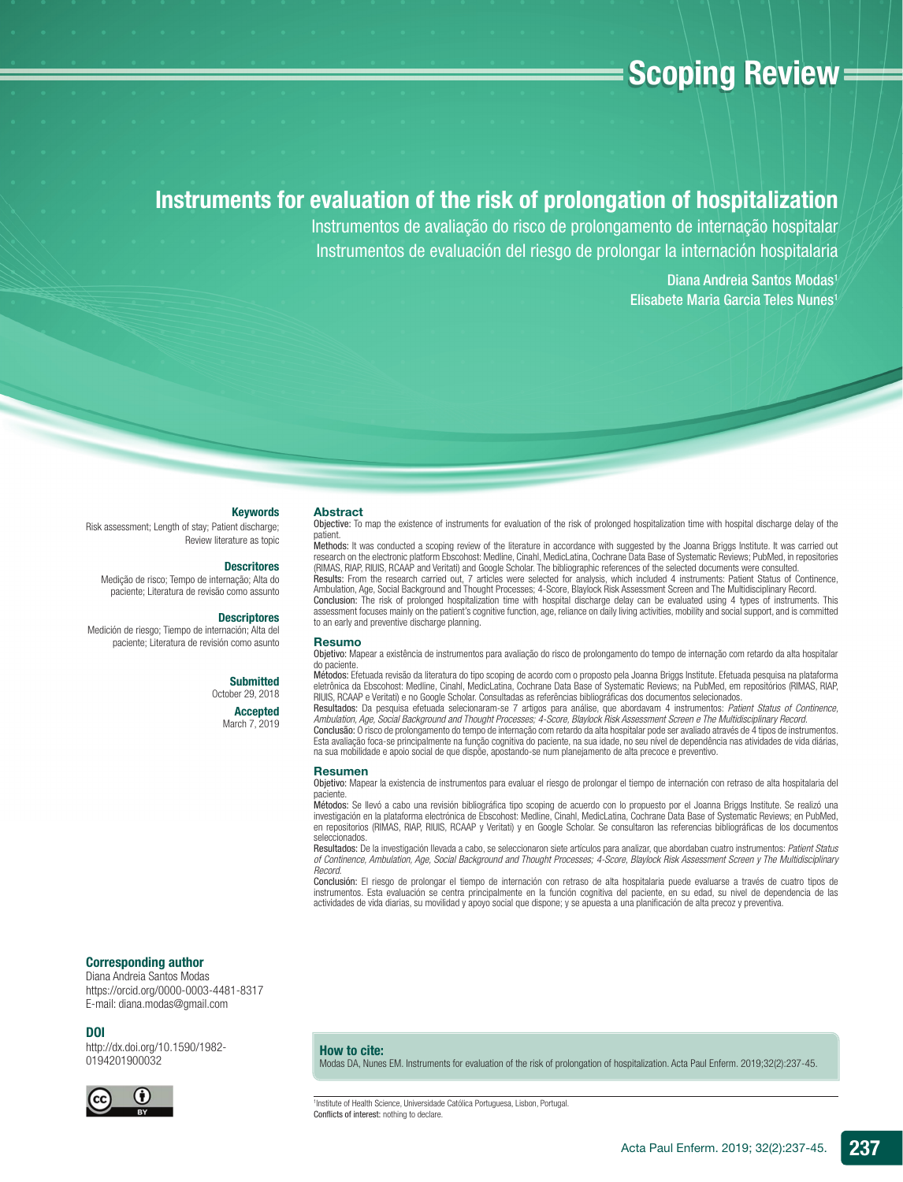# **Scoping Review =**

# Instruments for evaluation of the risk of prolongation of hospitalization

Instrumentos de avaliação do risco de prolongamento de internação hospitalar Instrumentos de evaluación del riesgo de prolongar la internación hospitalaria

> Diana Andreia Santos Modas<sup>1</sup> Elisabete Maria Garcia Teles Nunes<sup>1</sup>

#### Keywords

Risk assessment; Length of stay; Patient discharge; Review literature as topic

#### **Descritores**

Medição de risco; Tempo de internação; Alta do paciente; Literatura de revisão como assunto

#### **Descriptores**

Medición de riesgo; Tiempo de internación; Alta del paciente; Literatura de revisión como asunto

#### **Submitted**

October 29, 2018

Accepted March 7, 2019 Objective: To map the existence of instruments for evaluation of the risk of prolonged hospitalization time with hospital discharge delay of the patient.

Methods: It was conducted a scoping review of the literature in accordance with suggested by the Joanna Briggs Institute. It was carried out<br>research on the electronic platform Ebscohost: Medline, Cinahl, MedicLatina, Coch (RIMAS, RIAP, RIUIS, RCAAP and Veritati) and Google Scholar. The bibliographic references of the selected documents were consulted. Results: From the research carried out, 7 articles were selected for analysis, which included 4 instruments: Patient Status of Continence, Ambulation, Age, Social Background and Thought Processes; 4-Score, Blaylock Risk Assessment Screen and The Multidisciplinary Record. Conclusion: The risk of prolonged hospitalization time with hospital discharge delay can be evaluated using 4 types of instruments. This<br>assessment focuses mainly on the patient's cognitive function, age, reliance on daily to an early and preventive discharge planning.

#### Resumo

Abstract

Objetivo: Mapear a existência de instrumentos para avaliação do risco de prolongamento do tempo de internação com retardo da alta hospitalar do paciente.

**Métodos**: Efetuada revisão da literatura do tipo scoping de acordo com o proposto pela Joanna Briggs Institute. Efetuada pesquisa na plataforma<br>eletrônica da Ebscohost: Medline, Cinahl, MedicLatina, Cochrane Data Base of RIUIS, RCAAP e Veritati) e no Google Scholar. Consultadas as referências bibliográfi cas dos documentos selecionados.

Resultados: Da pesquisa efetuada selecionaram-se 7 artigos para análise, que abordavam 4 instrumentos: *Patient Status of Continence, Ambulation, Age, Social Background and Thought Processes; 4-Score, Blaylock Risk Assessment Screen e The Multidisciplinary Record*.

Conclusão: O risco de prolongamento do tempo de internação com retardo da alta hospitalar pode ser avaliado através de 4 tipos de instrumentos. Esta avaliação foca-se principalmente na função cognitiva do paciente, na sua idade, no seu nível de dependência nas atividades de vida diárias, na sua mobilidade e apoio social de que dispõe, apostando-se num planejamento de alta precoce e preventivo.

#### Resumen

Objetivo: Mapear la existencia de instrumentos para evaluar el riesgo de prolongar el tiempo de internación con retraso de alta hospitalaria del paciente.

**Métodos**: Se llevó a cabo una revisión bibliográfica tipo scoping de acuerdo con lo propuesto por el Joanna Briggs Institute. Se realizó una<br>investigación en la plataforma electrónica de Ebscohost: Medline, Cinahl, MedicL en repositorios (RIMAS, RIAP, RIUIS, RCAAP y Veritati) y en Google Scholar. Se consultaron las referencias bibliográficas de los documentos seleccionados.

Resultados: De la investigación llevada a cabo, se seleccionaron siete artículos para analizar, que abordaban cuatro instrumentos: *Patient Status of Continence, Ambulation, Age, Social Background and Thought Processes; 4-Score, Blaylock Risk Assessment Screen y The Multidisciplinary Record*.

Conclusión: El riesgo de prolongar el tiempo de internación con retraso de alta hospitalaria puede evaluarse a través de cuatro tipos de instrumentos. Esta evaluación se centra principalmente en la función cognitiva del paciente, en su edad, su nivel de dependencia de las actividades de vida diarias, su movilidad y apoyo social que dispone; y se apuesta a una planificación de alta precoz y preventiva.

#### Corresponding author

Diana Andreia Santos Modas https://orcid.org/0000-0003-4481-8317 E-mail: diana.modas@gmail.com

#### DOI

http://dx.doi.org/10.1590/1982- 0194201900032



#### How to cite:

Modas DA, Nunes EM. Instruments for evaluation of the risk of prolongation of hospitalization. Acta Paul Enferm. 2019;32(2):237-45.

1 Institute of Health Science, Universidade Católica Portuguesa, Lisbon, Portugal. Conflicts of interest: nothing to declare.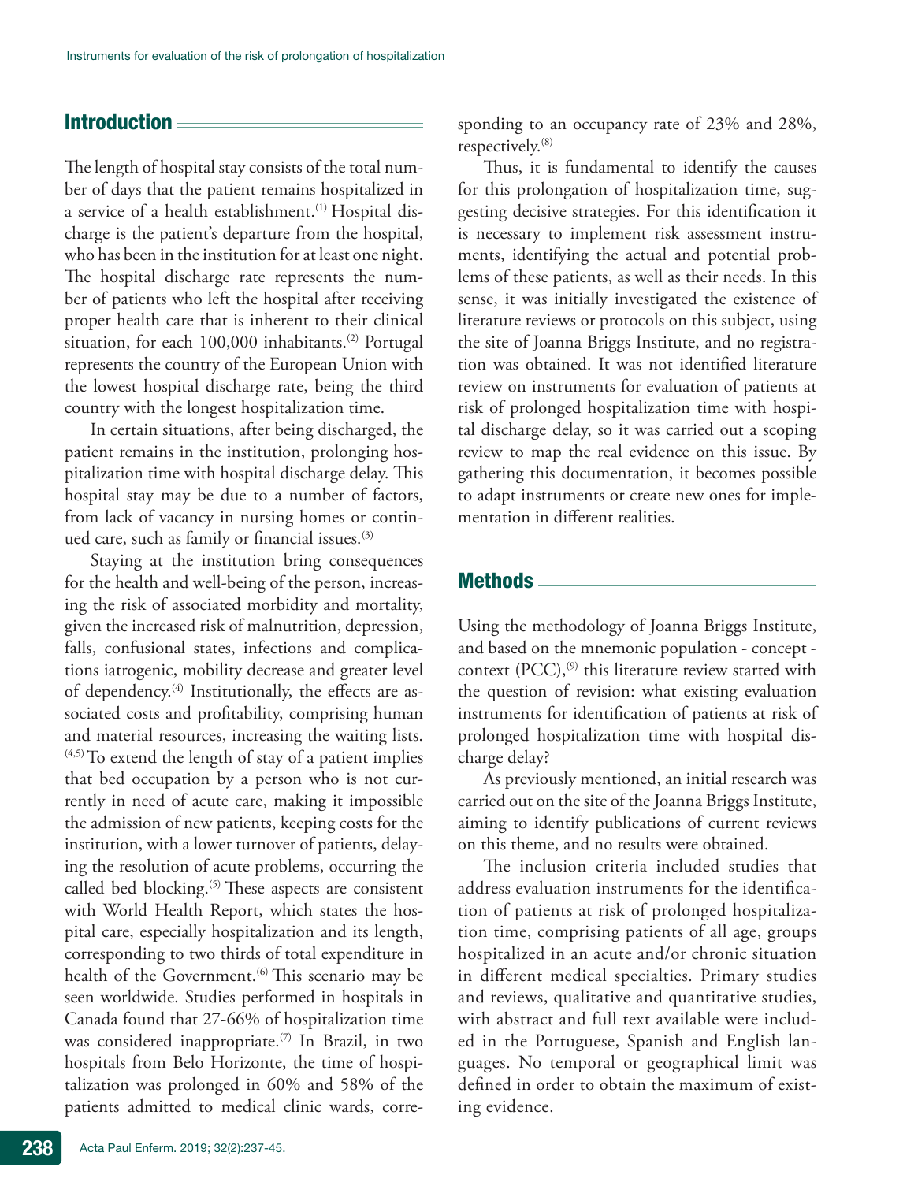# Introduction

The length of hospital stay consists of the total number of days that the patient remains hospitalized in a service of a health establishment.<sup>(1)</sup> Hospital discharge is the patient's departure from the hospital, who has been in the institution for at least one night. The hospital discharge rate represents the number of patients who left the hospital after receiving proper health care that is inherent to their clinical situation, for each 100,000 inhabitants.<sup>(2)</sup> Portugal represents the country of the European Union with the lowest hospital discharge rate, being the third country with the longest hospitalization time.

In certain situations, after being discharged, the patient remains in the institution, prolonging hospitalization time with hospital discharge delay. This hospital stay may be due to a number of factors, from lack of vacancy in nursing homes or continued care, such as family or financial issues.<sup>(3)</sup>

Staying at the institution bring consequences for the health and well-being of the person, increasing the risk of associated morbidity and mortality, given the increased risk of malnutrition, depression, falls, confusional states, infections and complications iatrogenic, mobility decrease and greater level of dependency.<sup>(4)</sup> Institutionally, the effects are associated costs and profitability, comprising human and material resources, increasing the waiting lists.  $(4,5)$  To extend the length of stay of a patient implies that bed occupation by a person who is not currently in need of acute care, making it impossible the admission of new patients, keeping costs for the institution, with a lower turnover of patients, delaying the resolution of acute problems, occurring the called bed blocking.<sup>(5)</sup> These aspects are consistent with World Health Report, which states the hospital care, especially hospitalization and its length, corresponding to two thirds of total expenditure in health of the Government.<sup>(6)</sup> This scenario may be seen worldwide. Studies performed in hospitals in Canada found that 27-66% of hospitalization time was considered inappropriate.<sup>(7)</sup> In Brazil, in two hospitals from Belo Horizonte, the time of hospitalization was prolonged in 60% and 58% of the patients admitted to medical clinic wards, corresponding to an occupancy rate of 23% and 28%, respectively.(8)

Thus, it is fundamental to identify the causes for this prolongation of hospitalization time, suggesting decisive strategies. For this identification it is necessary to implement risk assessment instruments, identifying the actual and potential problems of these patients, as well as their needs. In this sense, it was initially investigated the existence of literature reviews or protocols on this subject, using the site of Joanna Briggs Institute, and no registration was obtained. It was not identified literature review on instruments for evaluation of patients at risk of prolonged hospitalization time with hospital discharge delay, so it was carried out a scoping review to map the real evidence on this issue. By gathering this documentation, it becomes possible to adapt instruments or create new ones for implementation in different realities.

## Methods

Using the methodology of Joanna Briggs Institute, and based on the mnemonic population - concept context  $(PCC)$ ,<sup>(9)</sup> this literature review started with the question of revision: what existing evaluation instruments for identification of patients at risk of prolonged hospitalization time with hospital discharge delay?

As previously mentioned, an initial research was carried out on the site of the Joanna Briggs Institute, aiming to identify publications of current reviews on this theme, and no results were obtained.

The inclusion criteria included studies that address evaluation instruments for the identification of patients at risk of prolonged hospitalization time, comprising patients of all age, groups hospitalized in an acute and/or chronic situation in different medical specialties. Primary studies and reviews, qualitative and quantitative studies, with abstract and full text available were included in the Portuguese, Spanish and English languages. No temporal or geographical limit was defined in order to obtain the maximum of existing evidence.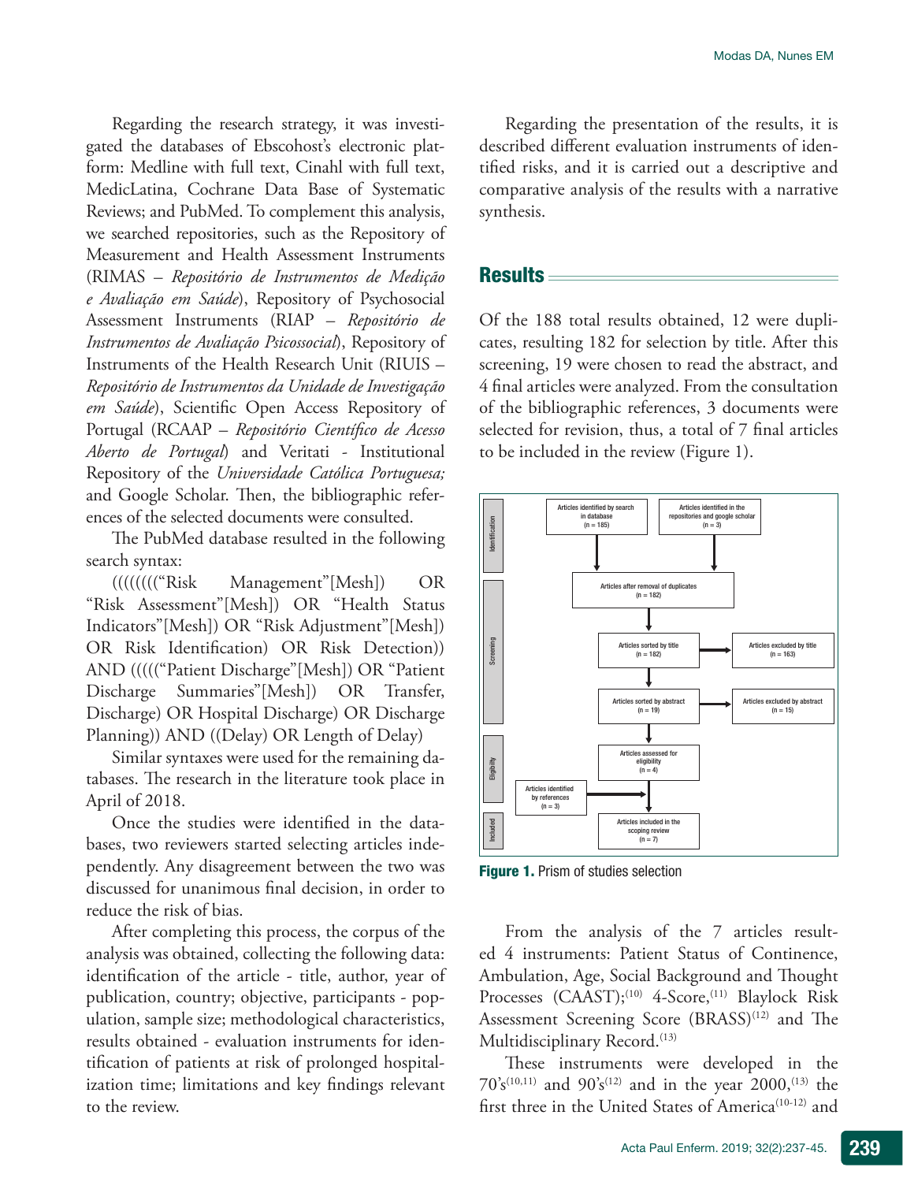Regarding the research strategy, it was investigated the databases of Ebscohost's electronic platform: Medline with full text, Cinahl with full text, MedicLatina, Cochrane Data Base of Systematic Reviews; and PubMed. To complement this analysis, we searched repositories, such as the Repository of Measurement and Health Assessment Instruments (RIMAS – *Repositório de Instrumentos de Medição e Avaliação em Saúde*), Repository of Psychosocial Assessment Instruments (RIAP – *Repositório de Instrumentos de Avaliação Psicossocial*), Repository of Instruments of the Health Research Unit (RIUIS – *Repositório de Instrumentos da Unidade de Investigação em Saúde*), Scientific Open Access Repository of Portugal (RCAAP – *Repositório Científico de Acesso Aberto de Portugal*) and Veritati - Institutional Repository of the *Universidade Católica Portuguesa;* and Google Scholar. Then, the bibliographic references of the selected documents were consulted.

The PubMed database resulted in the following search syntax:

(((((((("Risk Management"[Mesh]) OR "Risk Assessment"[Mesh]) OR "Health Status Indicators"[Mesh]) OR "Risk Adjustment"[Mesh]) OR Risk Identification) OR Risk Detection)) AND ((((("Patient Discharge"[Mesh]) OR "Patient Discharge Summaries"[Mesh]) OR Transfer, Discharge) OR Hospital Discharge) OR Discharge Planning)) AND ((Delay) OR Length of Delay)

Similar syntaxes were used for the remaining databases. The research in the literature took place in April of 2018.

Once the studies were identified in the databases, two reviewers started selecting articles independently. Any disagreement between the two was discussed for unanimous final decision, in order to reduce the risk of bias.

After completing this process, the corpus of the analysis was obtained, collecting the following data: identification of the article - title, author, year of publication, country; objective, participants - population, sample size; methodological characteristics, results obtained - evaluation instruments for identification of patients at risk of prolonged hospitalization time; limitations and key findings relevant to the review.

Regarding the presentation of the results, it is described different evaluation instruments of identified risks, and it is carried out a descriptive and comparative analysis of the results with a narrative synthesis.

# Results

Of the 188 total results obtained, 12 were duplicates, resulting 182 for selection by title. After this screening, 19 were chosen to read the abstract, and 4 final articles were analyzed. From the consultation of the bibliographic references, 3 documents were selected for revision, thus, a total of 7 final articles to be included in the review (Figure 1).



Figure 1. Prism of studies selection

From the analysis of the 7 articles resulted 4 instruments: Patient Status of Continence, Ambulation, Age, Social Background and Thought Processes (CAAST);<sup>(10)</sup> 4-Score,<sup>(11)</sup> Blaylock Risk Assessment Screening Score (BRASS)<sup>(12)</sup> and The Multidisciplinary Record.<sup>(13)</sup>

These instruments were developed in the  $70's^{(10,11)}$  and  $90's^{(12)}$  and in the year  $2000, ^{(13)}$  the first three in the United States of America<sup>(10-12)</sup> and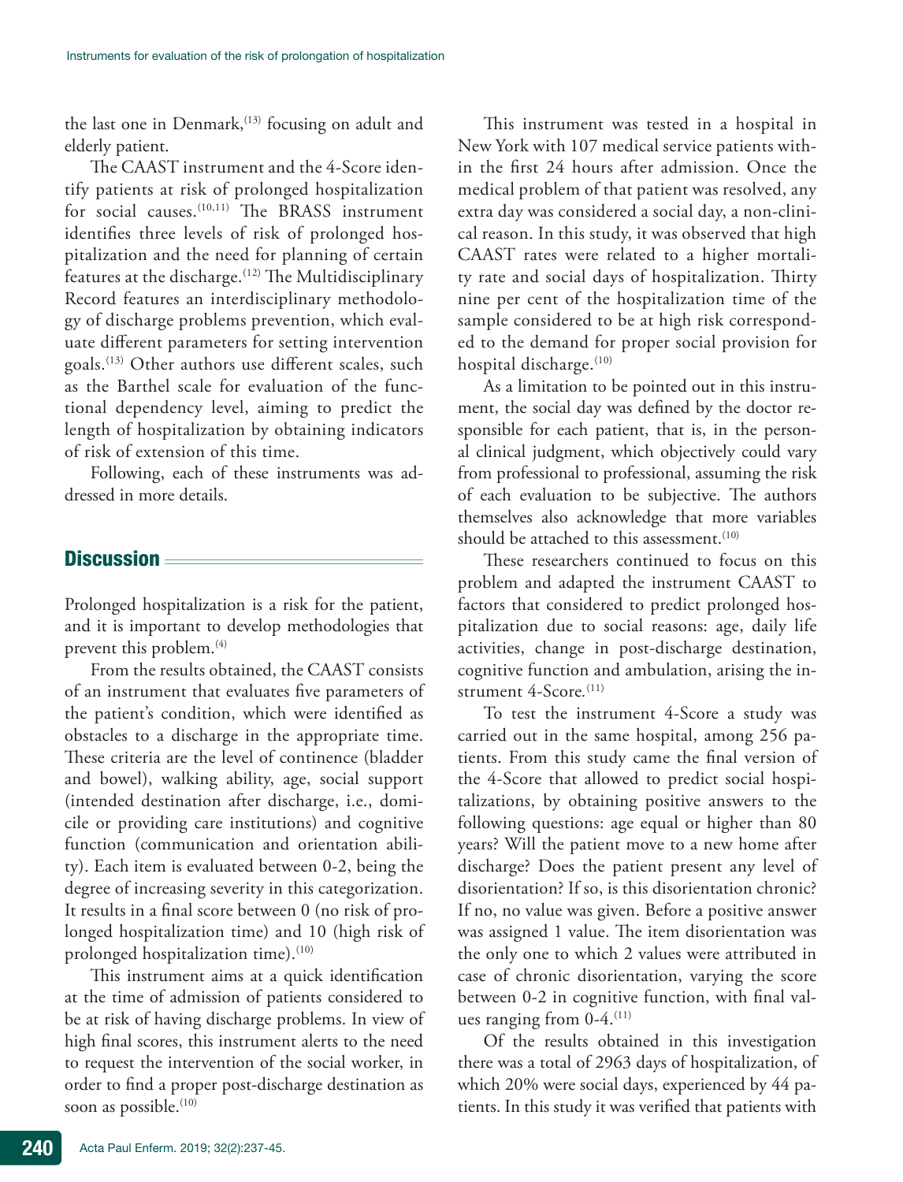the last one in Denmark, $(13)$  focusing on adult and elderly patient.

The CAAST instrument and the 4-Score identify patients at risk of prolonged hospitalization for social causes.<sup>(10,11)</sup> The BRASS instrument identifies three levels of risk of prolonged hospitalization and the need for planning of certain features at the discharge.<sup>(12)</sup> The Multidisciplinary Record features an interdisciplinary methodology of discharge problems prevention, which evaluate different parameters for setting intervention goals.(13) Other authors use different scales, such as the Barthel scale for evaluation of the functional dependency level, aiming to predict the length of hospitalization by obtaining indicators of risk of extension of this time.

Following, each of these instruments was addressed in more details.

# Discussion

Prolonged hospitalization is a risk for the patient, and it is important to develop methodologies that prevent this problem.<sup>(4)</sup>

From the results obtained, the CAAST consists of an instrument that evaluates five parameters of the patient's condition, which were identified as obstacles to a discharge in the appropriate time. These criteria are the level of continence (bladder and bowel), walking ability, age, social support (intended destination after discharge, i.e., domicile or providing care institutions) and cognitive function (communication and orientation ability). Each item is evaluated between 0-2, being the degree of increasing severity in this categorization. It results in a final score between 0 (no risk of prolonged hospitalization time) and 10 (high risk of prolonged hospitalization time).<sup>(10)</sup>

This instrument aims at a quick identification at the time of admission of patients considered to be at risk of having discharge problems. In view of high final scores, this instrument alerts to the need to request the intervention of the social worker, in order to find a proper post-discharge destination as soon as possible.<sup>(10)</sup>

This instrument was tested in a hospital in New York with 107 medical service patients within the first 24 hours after admission. Once the medical problem of that patient was resolved, any extra day was considered a social day, a non-clinical reason. In this study, it was observed that high CAAST rates were related to a higher mortality rate and social days of hospitalization. Thirty nine per cent of the hospitalization time of the sample considered to be at high risk corresponded to the demand for proper social provision for hospital discharge.<sup>(10)</sup>

As a limitation to be pointed out in this instrument, the social day was defined by the doctor responsible for each patient, that is, in the personal clinical judgment, which objectively could vary from professional to professional, assuming the risk of each evaluation to be subjective. The authors themselves also acknowledge that more variables should be attached to this assessment.<sup>(10)</sup>

These researchers continued to focus on this problem and adapted the instrument CAAST to factors that considered to predict prolonged hospitalization due to social reasons: age, daily life activities, change in post-discharge destination, cognitive function and ambulation, arising the instrument 4-Score*.* (11)

To test the instrument 4-Score a study was carried out in the same hospital, among 256 patients. From this study came the final version of the 4-Score that allowed to predict social hospitalizations, by obtaining positive answers to the following questions: age equal or higher than 80 years? Will the patient move to a new home after discharge? Does the patient present any level of disorientation? If so, is this disorientation chronic? If no, no value was given. Before a positive answer was assigned 1 value. The item disorientation was the only one to which 2 values were attributed in case of chronic disorientation, varying the score between 0-2 in cognitive function, with final values ranging from  $0-4$ .<sup>(11)</sup>

Of the results obtained in this investigation there was a total of 2963 days of hospitalization, of which 20% were social days, experienced by 44 patients. In this study it was verified that patients with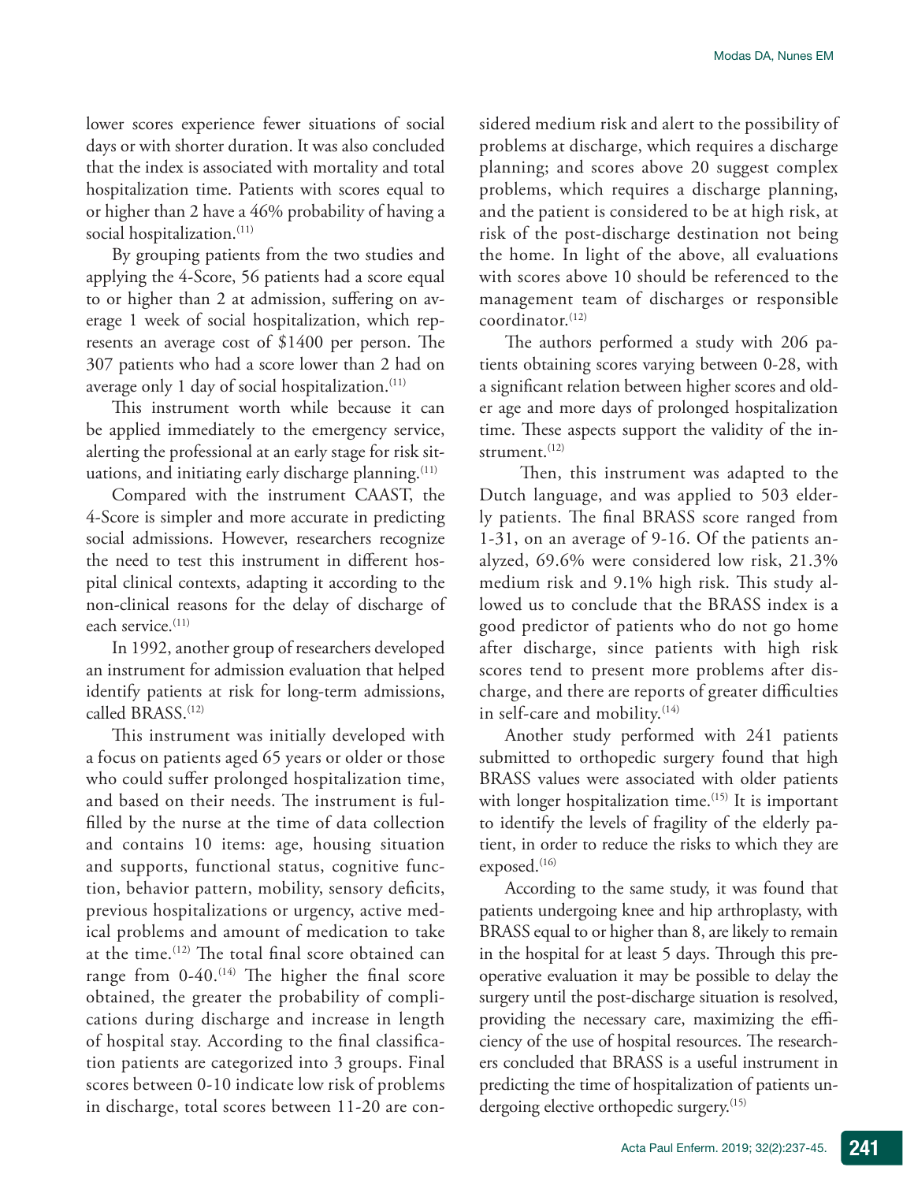lower scores experience fewer situations of social days or with shorter duration. It was also concluded that the index is associated with mortality and total hospitalization time. Patients with scores equal to or higher than 2 have a 46% probability of having a social hospitalization.<sup>(11)</sup>

By grouping patients from the two studies and applying the 4-Score, 56 patients had a score equal to or higher than 2 at admission, suffering on average 1 week of social hospitalization, which represents an average cost of \$1400 per person. The 307 patients who had a score lower than 2 had on average only 1 day of social hospitalization.<sup>(11)</sup>

This instrument worth while because it can be applied immediately to the emergency service, alerting the professional at an early stage for risk situations, and initiating early discharge planning. $(11)$ 

Compared with the instrument CAAST, the 4-Score is simpler and more accurate in predicting social admissions. However, researchers recognize the need to test this instrument in different hospital clinical contexts, adapting it according to the non-clinical reasons for the delay of discharge of each service.<sup>(11)</sup>

In 1992, another group of researchers developed an instrument for admission evaluation that helped identify patients at risk for long-term admissions, called BRASS.<sup>(12)</sup>

This instrument was initially developed with a focus on patients aged 65 years or older or those who could suffer prolonged hospitalization time, and based on their needs. The instrument is fulfilled by the nurse at the time of data collection and contains 10 items: age, housing situation and supports, functional status, cognitive function, behavior pattern, mobility, sensory deficits, previous hospitalizations or urgency, active medical problems and amount of medication to take at the time.(12) The total final score obtained can range from  $0-40$ .<sup>(14)</sup> The higher the final score obtained, the greater the probability of complications during discharge and increase in length of hospital stay. According to the final classification patients are categorized into 3 groups. Final scores between 0-10 indicate low risk of problems in discharge, total scores between 11-20 are considered medium risk and alert to the possibility of problems at discharge, which requires a discharge planning; and scores above 20 suggest complex problems, which requires a discharge planning, and the patient is considered to be at high risk, at risk of the post-discharge destination not being the home. In light of the above, all evaluations with scores above 10 should be referenced to the management team of discharges or responsible  $coordinator.$ <sup> $(12)$ </sup>

The authors performed a study with 206 patients obtaining scores varying between 0-28, with a significant relation between higher scores and older age and more days of prolonged hospitalization time. These aspects support the validity of the instrument. $(12)$ 

 Then, this instrument was adapted to the Dutch language, and was applied to 503 elderly patients. The final BRASS score ranged from 1-31, on an average of 9-16. Of the patients analyzed, 69.6% were considered low risk, 21.3% medium risk and 9.1% high risk. This study allowed us to conclude that the BRASS index is a good predictor of patients who do not go home after discharge, since patients with high risk scores tend to present more problems after discharge, and there are reports of greater difficulties in self-care and mobility. $(14)$ 

Another study performed with 241 patients submitted to orthopedic surgery found that high BRASS values were associated with older patients with longer hospitalization time.<sup>(15)</sup> It is important to identify the levels of fragility of the elderly patient, in order to reduce the risks to which they are exposed.<sup>(16)</sup>

According to the same study, it was found that patients undergoing knee and hip arthroplasty, with BRASS equal to or higher than 8, are likely to remain in the hospital for at least 5 days. Through this preoperative evaluation it may be possible to delay the surgery until the post-discharge situation is resolved, providing the necessary care, maximizing the efficiency of the use of hospital resources. The researchers concluded that BRASS is a useful instrument in predicting the time of hospitalization of patients undergoing elective orthopedic surgery.<sup>(15)</sup>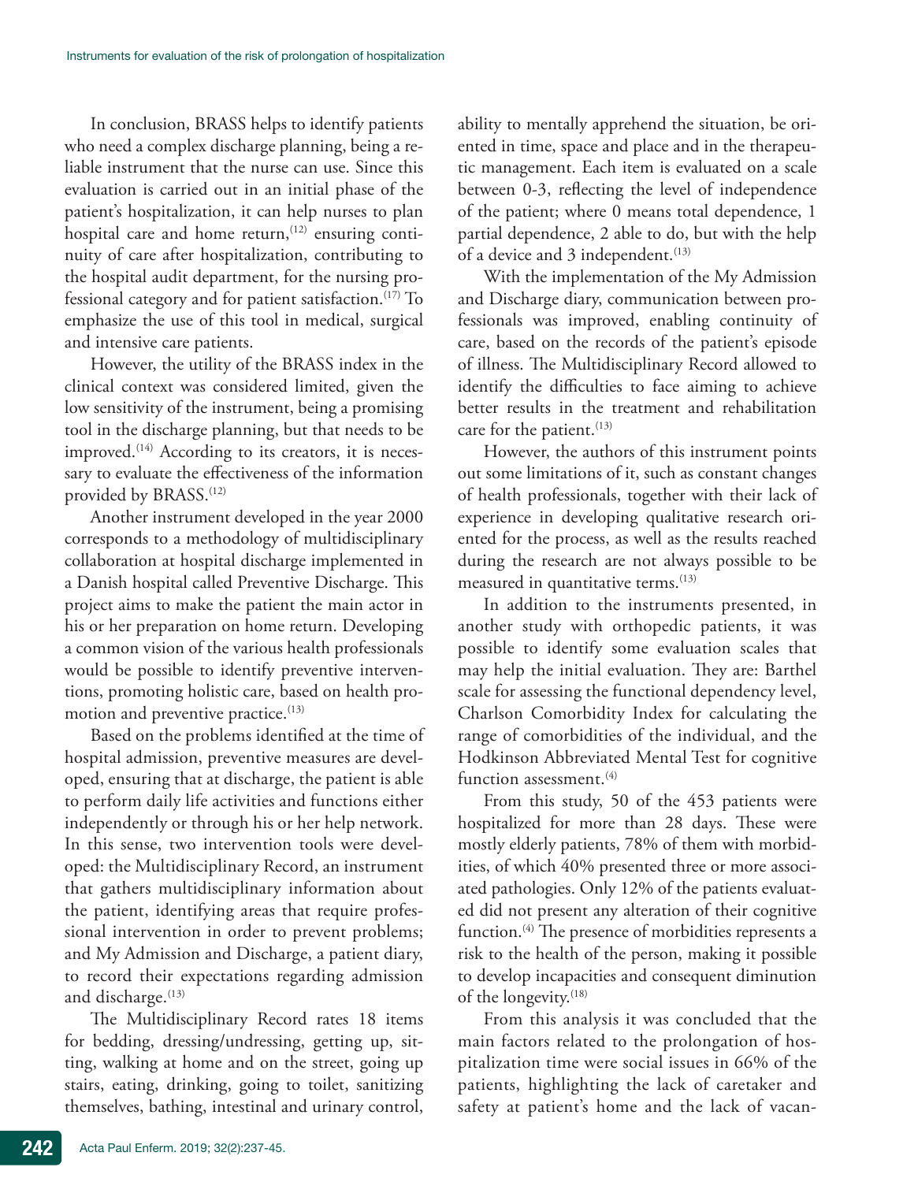In conclusion, BRASS helps to identify patients who need a complex discharge planning, being a reliable instrument that the nurse can use. Since this evaluation is carried out in an initial phase of the patient's hospitalization, it can help nurses to plan hospital care and home return, $(12)$  ensuring continuity of care after hospitalization, contributing to the hospital audit department, for the nursing professional category and for patient satisfaction.(17) To emphasize the use of this tool in medical, surgical and intensive care patients.

However, the utility of the BRASS index in the clinical context was considered limited, given the low sensitivity of the instrument, being a promising tool in the discharge planning, but that needs to be improved. $(14)$  According to its creators, it is necessary to evaluate the effectiveness of the information provided by BRASS.<sup>(12)</sup>

Another instrument developed in the year 2000 corresponds to a methodology of multidisciplinary collaboration at hospital discharge implemented in a Danish hospital called Preventive Discharge. This project aims to make the patient the main actor in his or her preparation on home return. Developing a common vision of the various health professionals would be possible to identify preventive interventions, promoting holistic care, based on health promotion and preventive practice.<sup>(13)</sup>

Based on the problems identified at the time of hospital admission, preventive measures are developed, ensuring that at discharge, the patient is able to perform daily life activities and functions either independently or through his or her help network. In this sense, two intervention tools were developed: the Multidisciplinary Record, an instrument that gathers multidisciplinary information about the patient, identifying areas that require professional intervention in order to prevent problems; and My Admission and Discharge, a patient diary, to record their expectations regarding admission and discharge.<sup>(13)</sup>

The Multidisciplinary Record rates 18 items for bedding, dressing/undressing, getting up, sitting, walking at home and on the street, going up stairs, eating, drinking, going to toilet, sanitizing themselves, bathing, intestinal and urinary control, ability to mentally apprehend the situation, be oriented in time, space and place and in the therapeutic management. Each item is evaluated on a scale between 0-3, reflecting the level of independence of the patient; where 0 means total dependence, 1 partial dependence, 2 able to do, but with the help of a device and 3 independent.<sup>(13)</sup>

With the implementation of the My Admission and Discharge diary, communication between professionals was improved, enabling continuity of care, based on the records of the patient's episode of illness. The Multidisciplinary Record allowed to identify the difficulties to face aiming to achieve better results in the treatment and rehabilitation care for the patient. $(13)$ 

However, the authors of this instrument points out some limitations of it, such as constant changes of health professionals, together with their lack of experience in developing qualitative research oriented for the process, as well as the results reached during the research are not always possible to be measured in quantitative terms.<sup>(13)</sup>

In addition to the instruments presented, in another study with orthopedic patients, it was possible to identify some evaluation scales that may help the initial evaluation. They are: Barthel scale for assessing the functional dependency level, Charlson Comorbidity Index for calculating the range of comorbidities of the individual, and the Hodkinson Abbreviated Mental Test for cognitive function assessment.<sup>(4)</sup>

From this study, 50 of the 453 patients were hospitalized for more than 28 days. These were mostly elderly patients, 78% of them with morbidities, of which 40% presented three or more associated pathologies. Only 12% of the patients evaluated did not present any alteration of their cognitive function.<sup>(4)</sup> The presence of morbidities represents a risk to the health of the person, making it possible to develop incapacities and consequent diminution of the longevity.<sup>(18)</sup>

From this analysis it was concluded that the main factors related to the prolongation of hospitalization time were social issues in 66% of the patients, highlighting the lack of caretaker and safety at patient's home and the lack of vacan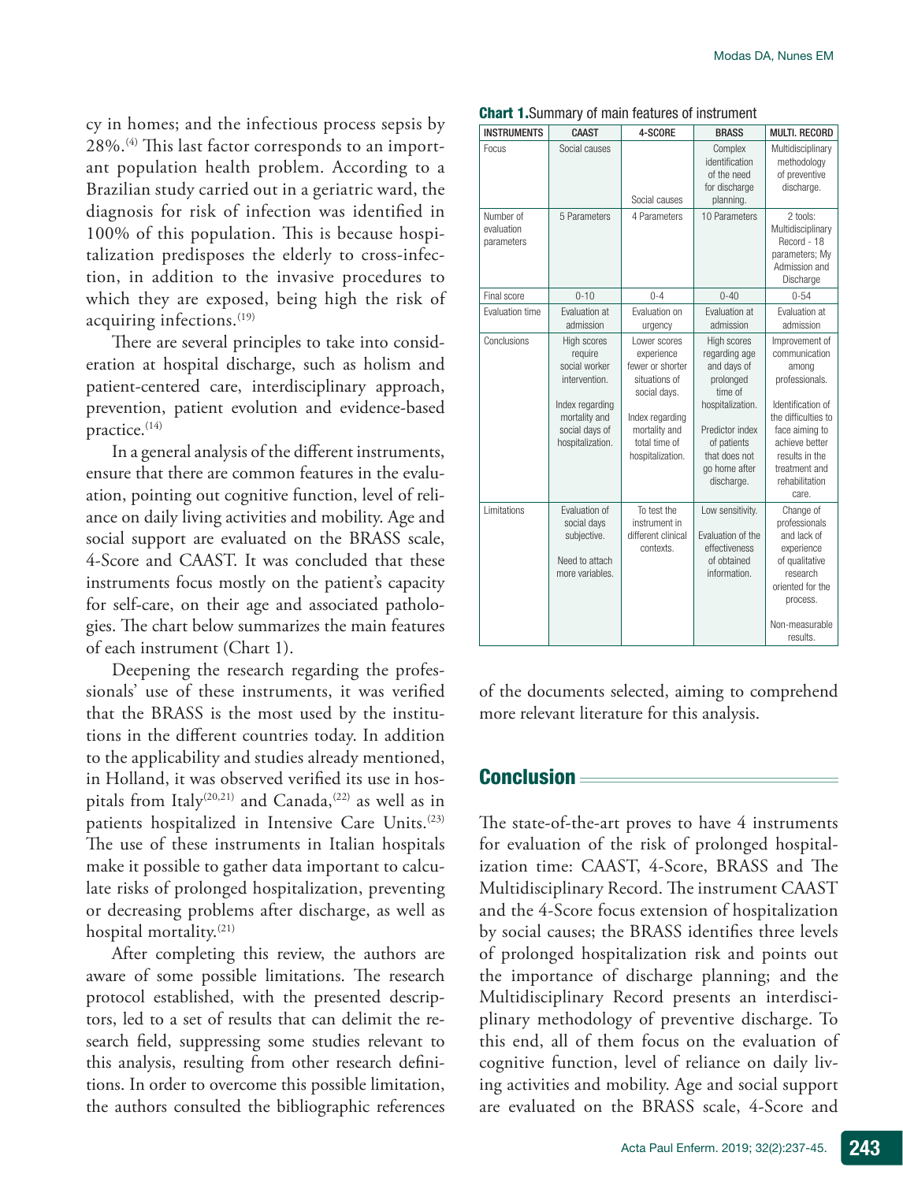cy in homes; and the infectious process sepsis by 28%.(4) This last factor corresponds to an important population health problem. According to a Brazilian study carried out in a geriatric ward, the diagnosis for risk of infection was identified in 100% of this population. This is because hospitalization predisposes the elderly to cross-infection, in addition to the invasive procedures to which they are exposed, being high the risk of acquiring infections.<sup>(19)</sup>

There are several principles to take into consideration at hospital discharge, such as holism and patient-centered care, interdisciplinary approach, prevention, patient evolution and evidence-based practice.<sup>(14)</sup>

In a general analysis of the different instruments, ensure that there are common features in the evaluation, pointing out cognitive function, level of reliance on daily living activities and mobility. Age and social support are evaluated on the BRASS scale, 4-Score and CAAST. It was concluded that these instruments focus mostly on the patient's capacity for self-care, on their age and associated pathologies. The chart below summarizes the main features of each instrument (Chart 1).

Deepening the research regarding the professionals' use of these instruments, it was verified that the BRASS is the most used by the institutions in the different countries today. In addition to the applicability and studies already mentioned, in Holland, it was observed verified its use in hospitals from Italy<sup>(20,21)</sup> and Canada,<sup>(22)</sup> as well as in patients hospitalized in Intensive Care Units.<sup>(23)</sup> The use of these instruments in Italian hospitals make it possible to gather data important to calculate risks of prolonged hospitalization, preventing or decreasing problems after discharge, as well as hospital mortality.<sup>(21)</sup>

After completing this review, the authors are aware of some possible limitations. The research protocol established, with the presented descriptors, led to a set of results that can delimit the research field, suppressing some studies relevant to this analysis, resulting from other research definitions. In order to overcome this possible limitation, the authors consulted the bibliographic references

| <b>INSTRUMENTS</b>                    | CAAST                                                                                                                              | 4-SCORE                                                                                                                                                  | <b>BRASS</b>                                                                                                                                                              | <b>MULTI, RECORD</b>                                                                                                                                                                                     |
|---------------------------------------|------------------------------------------------------------------------------------------------------------------------------------|----------------------------------------------------------------------------------------------------------------------------------------------------------|---------------------------------------------------------------------------------------------------------------------------------------------------------------------------|----------------------------------------------------------------------------------------------------------------------------------------------------------------------------------------------------------|
| Focus                                 | Social causes                                                                                                                      | Social causes                                                                                                                                            | Complex<br>identification<br>of the need<br>for discharge<br>planning.                                                                                                    | Multidisciplinary<br>methodology<br>of preventive<br>discharge.                                                                                                                                          |
| Number of<br>evaluation<br>parameters | 5 Parameters                                                                                                                       | 4 Parameters                                                                                                                                             | 10 Parameters                                                                                                                                                             | 2 tools:<br>Multidisciplinary<br>Record - 18<br>parameters; My<br>Admission and<br>Discharge                                                                                                             |
| Final score                           | $0 - 10$                                                                                                                           | $0 - 4$                                                                                                                                                  | $0 - 40$                                                                                                                                                                  | $0 - 54$                                                                                                                                                                                                 |
| <b>Fvaluation time</b>                | Fvaluation at<br>admission                                                                                                         | Fvaluation on<br>urgency                                                                                                                                 | Fvaluation at<br>admission                                                                                                                                                | Fvaluation at<br>admission                                                                                                                                                                               |
| Conclusions                           | High scores<br>require<br>social worker<br>intervention.<br>Index regarding<br>mortality and<br>social days of<br>hospitalization. | Lower scores<br>experience<br>fewer or shorter<br>situations of<br>social days.<br>Index regarding<br>mortality and<br>total time of<br>hospitalization. | High scores<br>regarding age<br>and days of<br>prolonged<br>time of<br>hospitalization.<br>Predictor index<br>of patients<br>that does not<br>go home after<br>discharge. | Improvement of<br>communication<br>among<br>professionals.<br>Identification of<br>the difficulties to<br>face aiming to<br>achieve better<br>results in the<br>treatment and<br>rehabilitation<br>care. |
| I imitations                          | Fvaluation of<br>social days<br>subjective.<br>Need to attach<br>more variables.                                                   | To test the<br>instrument in<br>different clinical<br>contexts.                                                                                          | Low sensitivity.<br>Fvaluation of the<br>effectiveness<br>of obtained<br>information.                                                                                     | Change of<br>professionals<br>and lack of<br>experience<br>of qualitative<br>research<br>oriented for the<br>process.<br>Non-measurable<br>results.                                                      |

### Chart 1.Summary of main features of instrument

of the documents selected, aiming to comprehend more relevant literature for this analysis.

# **Conclusion**

The state-of-the-art proves to have 4 instruments for evaluation of the risk of prolonged hospitalization time: CAAST, 4-Score, BRASS and The Multidisciplinary Record. The instrument CAAST and the 4-Score focus extension of hospitalization by social causes; the BRASS identifies three levels of prolonged hospitalization risk and points out the importance of discharge planning; and the Multidisciplinary Record presents an interdisciplinary methodology of preventive discharge. To this end, all of them focus on the evaluation of cognitive function, level of reliance on daily living activities and mobility. Age and social support are evaluated on the BRASS scale, 4-Score and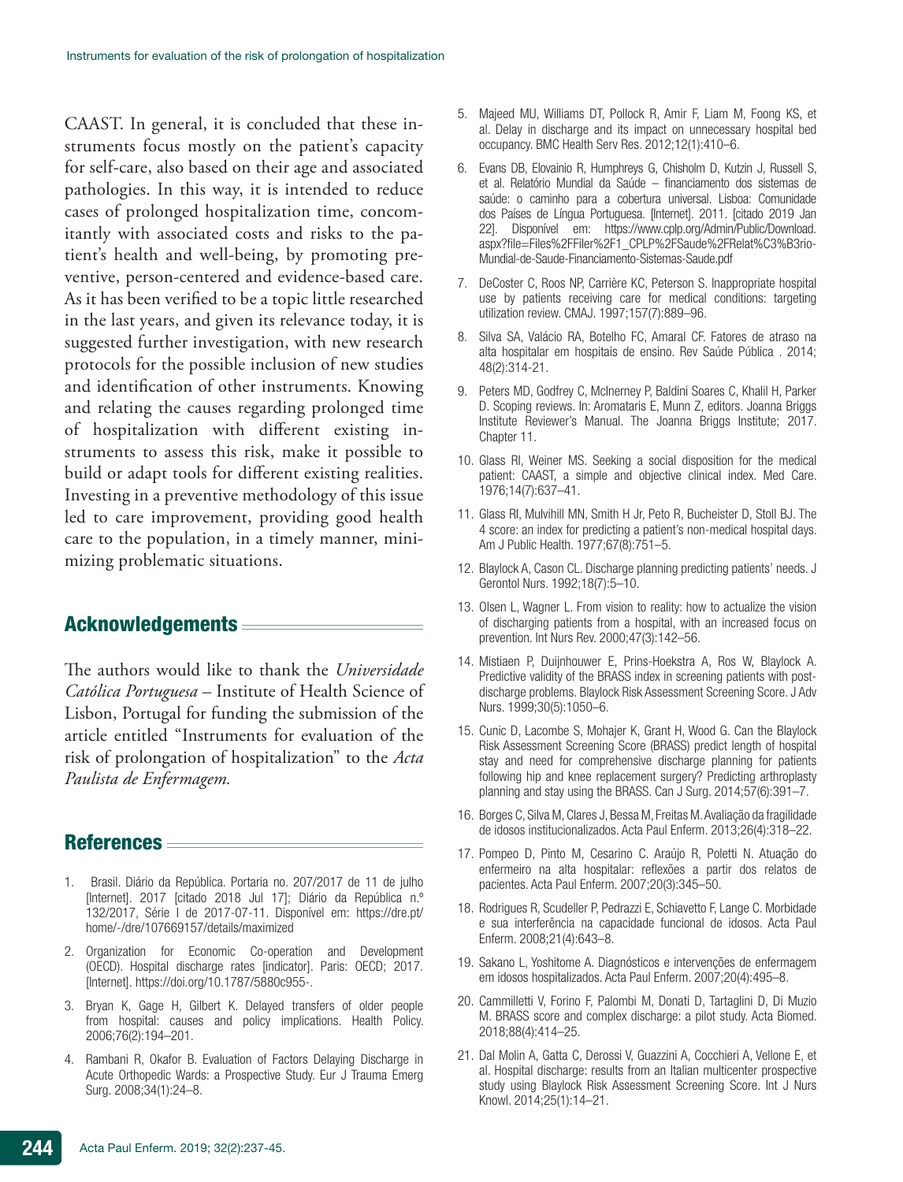CAAST. In general, it is concluded that these instruments focus mostly on the patient's capacity for self-care, also based on their age and associated pathologies. In this way, it is intended to reduce cases of prolonged hospitalization time, concomitantly with associated costs and risks to the patient's health and well-being, by promoting preventive, person-centered and evidence-based care. As it has been verified to be a topic little researched in the last years, and given its relevance today, it is suggested further investigation, with new research protocols for the possible inclusion of new studies and identification of other instruments. Knowing and relating the causes regarding prolonged time of hospitalization with different existing instruments to assess this risk, make it possible to build or adapt tools for different existing realities. Investing in a preventive methodology of this issue led to care improvement, providing good health care to the population, in a timely manner, minimizing problematic situations.

# Acknowledgements

The authors would like to thank the *Universidade Católica Portuguesa* – Institute of Health Science of Lisbon, Portugal for funding the submission of the article entitled "Instruments for evaluation of the risk of prolongation of hospitalization" to the *Acta Paulista de Enfermagem.*

# References

- 1. Brasil. Diário da República. Portaria no. 207/2017 de 11 de julho [Internet]. 2017 [citado 2018 Jul 17]; Diário da República n.º 132/2017, Série I de 2017-07-11. Disponível em: https://dre.pt/ home/-/dre/107669157/details/maximized
- 2. Organization for Economic Co-operation and Development (OECD). Hospital discharge rates [indicator]. Paris: OECD; 2017. [Internet]. https://doi.org/10.1787/5880c955-.
- 3. Bryan K, Gage H, Gilbert K. Delayed transfers of older people from hospital: causes and policy implications. Health Policy. 2006;76(2):194–201.
- 4. Rambani R, Okafor B. Evaluation of Factors Delaying Discharge in Acute Orthopedic Wards: a Prospective Study. Eur J Trauma Emerg Surg. 2008;34(1):24–8.
- 5. Majeed MU, Williams DT, Pollock R, Amir F, Liam M, Foong KS, et al. Delay in discharge and its impact on unnecessary hospital bed occupancy. BMC Health Serv Res. 2012;12(1):410–6.
- 6. Evans DB, Elovainio R, Humphreys G, Chisholm D, Kutzin J, Russell S, et al. Relatório Mundial da Saúde – financiamento dos sistemas de saúde: o caminho para a cobertura universal. Lisboa: Comunidade dos Países de Língua Portuguesa. [Internet]. 2011. [citado 2019 Jan 22]. Disponível em: https://www.cplp.org/Admin/Public/Download. aspx?file=Files%2FFiler%2F1\_CPLP%2FSaude%2FRelat%C3%B3rio-Mundial-de-Saude-Financiamento-Sistemas-Saude.pdf
- 7. DeCoster C, Roos NP, Carrière KC, Peterson S. Inappropriate hospital use by patients receiving care for medical conditions: targeting utilization review. CMAJ. 1997;157(7):889–96.
- 8. Silva SA, Valácio RA, Botelho FC, Amaral CF. Fatores de atraso na alta hospitalar em hospitais de ensino. Rev Saúde Pública . 2014; 48(2):314-21.
- 9. Peters MD, Godfrey C, McInerney P, Baldini Soares C, Khalil H, Parker D. Scoping reviews. In: Aromataris E, Munn Z, editors. Joanna Briggs Institute Reviewer's Manual. The Joanna Briggs Institute; 2017. Chapter 11.
- 10. Glass RI, Weiner MS. Seeking a social disposition for the medical patient: CAAST, a simple and objective clinical index. Med Care. 1976;14(7):637–41.
- 11. Glass RI, Mulvihill MN, Smith H Jr, Peto R, Bucheister D, Stoll BJ. The 4 score: an index for predicting a patient's non-medical hospital days. Am J Public Health. 1977;67(8):751–5.
- 12. Blaylock A, Cason CL. Discharge planning predicting patients' needs. J Gerontol Nurs. 1992;18(7):5–10.
- 13. Olsen L, Wagner L. From vision to reality: how to actualize the vision of discharging patients from a hospital, with an increased focus on prevention. Int Nurs Rev. 2000;47(3):142–56.
- 14. Mistiaen P, Duijnhouwer E, Prins-Hoekstra A, Ros W, Blaylock A. Predictive validity of the BRASS index in screening patients with postdischarge problems. Blaylock Risk Assessment Screening Score. J Adv Nurs. 1999;30(5):1050–6.
- 15. Cunic D, Lacombe S, Mohajer K, Grant H, Wood G. Can the Blaylock Risk Assessment Screening Score (BRASS) predict length of hospital stay and need for comprehensive discharge planning for patients following hip and knee replacement surgery? Predicting arthroplasty planning and stay using the BRASS. Can J Surg. 2014;57(6):391–7.
- 16. Borges C, Silva M, Clares J, Bessa M, Freitas M. Avaliação da fragilidade de idosos institucionalizados. Acta Paul Enferm. 2013;26(4):318–22.
- 17. Pompeo D, Pinto M, Cesarino C. Araújo R, Poletti N. Atuação do enfermeiro na alta hospitalar: reflexões a partir dos relatos de pacientes. Acta Paul Enferm. 2007;20(3):345–50.
- 18. Rodrigues R, Scudeller P, Pedrazzi E, Schiavetto F, Lange C. Morbidade e sua interferência na capacidade funcional de idosos. Acta Paul Enferm. 2008;21(4):643–8.
- 19. Sakano L, Yoshitome A. Diagnósticos e intervenções de enfermagem em idosos hospitalizados. Acta Paul Enferm. 2007;20(4):495–8.
- 20. Cammilletti V, Forino F, Palombi M, Donati D, Tartaglini D, Di Muzio M. BRASS score and complex discharge: a pilot study. Acta Biomed. 2018;88(4):414–25.
- 21. Dal Molin A, Gatta C, Derossi V, Guazzini A, Cocchieri A, Vellone E, et al. Hospital discharge: results from an Italian multicenter prospective study using Blaylock Risk Assessment Screening Score. Int J Nurs Knowl. 2014;25(1):14–21.